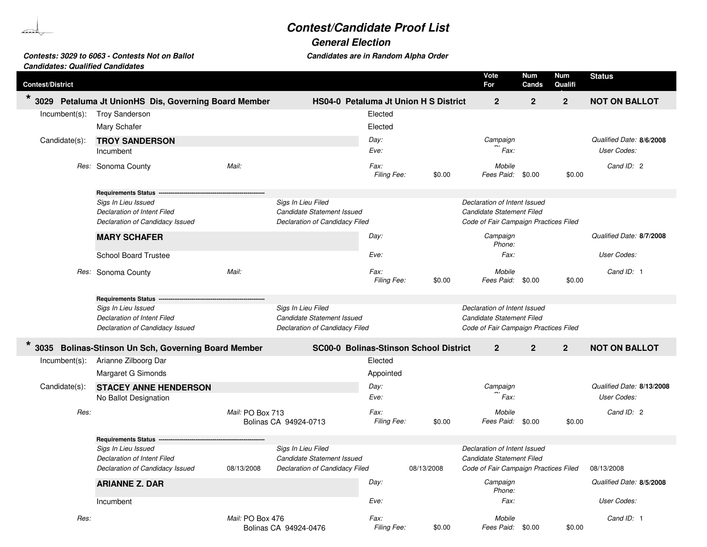## **Contest/Candidate Proof List**

**General Election**

**Contests: 3029 to 6063 - Contests Not on Ballot** 

Candidates are in Random Alpha Order

| <b>Candidates: Qualified Candidates</b> |                                                       |                  |                                        |                            |            |                                       |              |                |                           |
|-----------------------------------------|-------------------------------------------------------|------------------|----------------------------------------|----------------------------|------------|---------------------------------------|--------------|----------------|---------------------------|
| <b>Contest/District</b>                 |                                                       |                  |                                        |                            |            | Vote<br>For                           | Num<br>Cands | Num<br>Qualifi | <b>Status</b>             |
| $\star$ 3029                            | Petaluma Jt UnionHS Dis, Governing Board Member       |                  | HS04-0 Petaluma Jt Union H S District  |                            |            | $\mathbf{2}$                          | $\mathbf 2$  | $\mathbf{2}$   | <b>NOT ON BALLOT</b>      |
| $Incumbent(s)$ :                        | <b>Troy Sanderson</b>                                 |                  |                                        | Elected                    |            |                                       |              |                |                           |
|                                         | Mary Schafer                                          |                  |                                        | Elected                    |            |                                       |              |                |                           |
| Candidate(s):                           | <b>TROY SANDERSON</b>                                 |                  |                                        | Day:                       |            | Campaign                              |              |                | Qualified Date: 8/6/2008  |
|                                         | Incumbent                                             |                  |                                        | Eve:                       |            | Fax:                                  |              |                | User Codes:               |
|                                         |                                                       |                  |                                        |                            |            |                                       |              |                |                           |
|                                         | Res: Sonoma County                                    | Mail:            |                                        | Fax:<br>Filing Fee:        | \$0.00     | Mobile<br>Fees Paid:                  | \$0.00       | \$0.00         | Cand ID: 2                |
|                                         | <b>Requirements Status</b>                            |                  |                                        |                            |            |                                       |              |                |                           |
|                                         | Sigs In Lieu Issued                                   |                  | Sigs In Lieu Filed                     |                            |            | Declaration of Intent Issued          |              |                |                           |
|                                         | Declaration of Intent Filed                           |                  | Candidate Statement Issued             |                            |            | Candidate Statement Filed             |              |                |                           |
|                                         | Declaration of Candidacy Issued                       |                  | Declaration of Candidacy Filed         |                            |            | Code of Fair Campaign Practices Filed |              |                |                           |
|                                         | <b>MARY SCHAFER</b>                                   |                  |                                        | Day:                       |            | Campaign<br>Phone:                    |              |                | Qualified Date: 8/7/2008  |
|                                         | <b>School Board Trustee</b>                           |                  |                                        | Eve:                       |            | Fax:                                  |              |                | User Codes:               |
|                                         | Res: Sonoma County                                    | Mail:            |                                        | Fax:<br><b>Filing Fee:</b> | \$0.00     | Mobile<br>Fees Paid:                  | \$0.00       | \$0.00         | Cand ID: 1                |
|                                         |                                                       |                  |                                        |                            |            |                                       |              |                |                           |
|                                         |                                                       |                  |                                        |                            |            |                                       |              |                |                           |
|                                         | <b>Requirements Status</b>                            |                  | Sigs In Lieu Filed                     |                            |            | Declaration of Intent Issued          |              |                |                           |
|                                         | Sigs In Lieu Issued<br>Declaration of Intent Filed    |                  | Candidate Statement Issued             |                            |            | Candidate Statement Filed             |              |                |                           |
|                                         | Declaration of Candidacy Issued                       |                  | Declaration of Candidacy Filed         |                            |            | Code of Fair Campaign Practices Filed |              |                |                           |
| $\star$<br>3035                         | <b>Bolinas-Stinson Un Sch, Governing Board Member</b> |                  | SC00-0 Bolinas-Stinson School District |                            |            | $\mathbf{2}$                          | $\mathbf{2}$ | $\mathbf{2}$   | <b>NOT ON BALLOT</b>      |
| $Incumbent(s)$ :                        | Arianne Zilboorg Dar                                  |                  |                                        | Elected                    |            |                                       |              |                |                           |
|                                         | Margaret G Simonds                                    |                  |                                        | Appointed                  |            |                                       |              |                |                           |
|                                         |                                                       |                  |                                        | Day:                       |            | Campaign                              |              |                | Qualified Date: 8/13/2008 |
| Candidate(s):                           | <b>STACEY ANNE HENDERSON</b><br>No Ballot Designation |                  |                                        | Eve:                       |            | Fax:                                  |              |                | User Codes:               |
| Res:                                    |                                                       | Mail: PO Box 713 |                                        | Fax:                       |            | Mobile                                |              |                | Cand ID: 2                |
|                                         |                                                       |                  | Bolinas CA 94924-0713                  | Filing Fee:                | \$0.00     | Fees Paid: \$0.00                     |              | \$0.00         |                           |
|                                         |                                                       |                  |                                        |                            |            |                                       |              |                |                           |
|                                         | <b>Requirements Status</b><br>Sigs In Lieu Issued     |                  | Sigs In Lieu Filed                     |                            |            | Declaration of Intent Issued          |              |                |                           |
|                                         | Declaration of Intent Filed                           |                  | Candidate Statement Issued             |                            |            | Candidate Statement Filed             |              |                |                           |
|                                         | Declaration of Candidacy Issued                       | 08/13/2008       | Declaration of Candidacy Filed         |                            | 08/13/2008 | Code of Fair Campaign Practices Filed |              |                | 08/13/2008                |
|                                         | <b>ARIANNE Z. DAR</b>                                 |                  |                                        | Day:                       |            | Campaign<br>Phone:                    |              |                | Qualified Date: 8/5/2008  |
|                                         | Incumbent                                             |                  |                                        | Eve:                       |            | Fax:                                  |              |                | User Codes:               |
| Res:                                    |                                                       | Mail: PO Box 476 |                                        | Fax:                       |            | Mobile                                |              |                | Cand ID: 1                |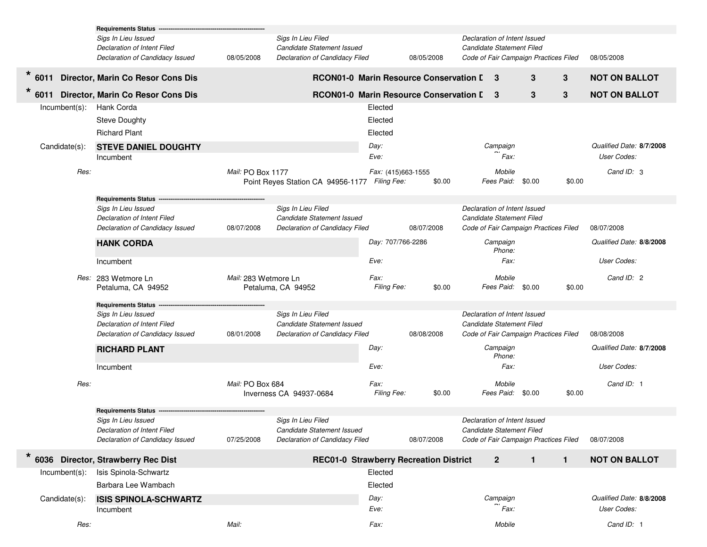|                  | <b>Requirements Status</b>                |                      |                                        |                                          |            |                              |                      |                                       |        |                          |
|------------------|-------------------------------------------|----------------------|----------------------------------------|------------------------------------------|------------|------------------------------|----------------------|---------------------------------------|--------|--------------------------|
|                  | Sigs In Lieu Issued                       |                      | Sigs In Lieu Filed                     |                                          |            | Declaration of Intent Issued |                      |                                       |        |                          |
|                  | Declaration of Intent Filed               |                      | Candidate Statement Issued             |                                          |            | Candidate Statement Filed    |                      |                                       |        |                          |
|                  | Declaration of Candidacy Issued           | 08/05/2008           | Declaration of Candidacy Filed         |                                          | 08/05/2008 |                              |                      | Code of Fair Campaign Practices Filed |        | 08/05/2008               |
| 6011             | Director, Marin Co Resor Cons Dis         |                      | RCON01-0 Marin Resource Conservation I |                                          |            | 3                            |                      | 3                                     | 3      | <b>NOT ON BALLOT</b>     |
| 6011             | Director, Marin Co Resor Cons Dis         |                      | RCON01-0 Marin Resource Conservation L |                                          |            |                              | 3                    | 3                                     | 3      | <b>NOT ON BALLOT</b>     |
| Incumbent(s):    | Hank Corda                                |                      |                                        | Elected                                  |            |                              |                      |                                       |        |                          |
|                  | <b>Steve Doughty</b>                      |                      |                                        | Elected                                  |            |                              |                      |                                       |        |                          |
|                  | <b>Richard Plant</b>                      |                      |                                        | Elected                                  |            |                              |                      |                                       |        |                          |
| Candidate(s):    | <b>STEVE DANIEL DOUGHTY</b>               |                      |                                        | Day:                                     |            |                              | Campaign             |                                       |        | Qualified Date: 8/7/2008 |
|                  | Incumbent                                 |                      |                                        | Eve:                                     |            |                              | Fax:                 |                                       |        | User Codes:              |
| Res:             |                                           | Mail: PO Box 1177    | Point Reyes Station CA 94956-1177      | Fax: (415)663-1555<br><b>Filing Fee:</b> | \$0.00     |                              | Mobile<br>Fees Paid: | \$0.00                                | \$0.00 | Cand ID: 3               |
|                  | <b>Requirements Status -</b>              |                      |                                        |                                          |            |                              |                      |                                       |        |                          |
|                  | Sigs In Lieu Issued                       |                      | Sigs In Lieu Filed                     |                                          |            | Declaration of Intent Issued |                      |                                       |        |                          |
|                  | Declaration of Intent Filed               |                      | Candidate Statement Issued             |                                          |            | Candidate Statement Filed    |                      |                                       |        |                          |
|                  | Declaration of Candidacy Issued           | 08/07/2008           | Declaration of Candidacy Filed         |                                          | 08/07/2008 |                              |                      | Code of Fair Campaign Practices Filed |        | 08/07/2008               |
|                  | <b>HANK CORDA</b>                         |                      |                                        | Day: 707/766-2286                        |            |                              | Campaign<br>Phone:   |                                       |        | Qualified Date: 8/8/2008 |
|                  | Incumbent                                 |                      |                                        | Eve:                                     |            |                              | Fax:                 |                                       |        | User Codes:              |
|                  | Res: 283 Wetmore Ln<br>Petaluma, CA 94952 | Mail: 283 Wetmore Ln | Petaluma, CA 94952                     | Fax:<br>Filing Fee:                      | \$0.00     |                              | Mobile<br>Fees Paid: | \$0.00                                | \$0.00 | Cand ID: 2               |
|                  | <b>Requirements Status</b>                |                      |                                        |                                          |            |                              |                      |                                       |        |                          |
|                  | Sigs In Lieu Issued                       |                      | Sigs In Lieu Filed                     |                                          |            | Declaration of Intent Issued |                      |                                       |        |                          |
|                  | Declaration of Intent Filed               |                      | Candidate Statement Issued             |                                          |            | Candidate Statement Filed    |                      |                                       |        |                          |
|                  | Declaration of Candidacy Issued           | 08/01/2008           | Declaration of Candidacy Filed         |                                          | 08/08/2008 |                              |                      | Code of Fair Campaign Practices Filed |        | 08/08/2008               |
|                  | <b>RICHARD PLANT</b>                      |                      |                                        | Day:                                     |            |                              | Campaign<br>Phone:   |                                       |        | Qualified Date: 8/7/2008 |
|                  | Incumbent                                 |                      |                                        | Eve:                                     |            |                              | Fax:                 |                                       |        | User Codes:              |
| Res:             |                                           | Mail: PO Box 684     |                                        | Fax:                                     |            |                              | Mobile               |                                       |        | Cand ID: 1               |
|                  |                                           |                      | Inverness CA 94937-0684                | Filing Fee:                              | \$0.00     |                              | Fees Paid:           | \$0.00                                | \$0.00 |                          |
|                  | <b>Requirements Status</b>                |                      |                                        |                                          |            |                              |                      |                                       |        |                          |
|                  | Sigs In Lieu Issued                       |                      | Sigs In Lieu Filed                     |                                          |            | Declaration of Intent Issued |                      |                                       |        |                          |
|                  | Declaration of Intent Filed               |                      | Candidate Statement Issued             |                                          |            | Candidate Statement Filed    |                      |                                       |        |                          |
|                  | Declaration of Candidacy Issued           | 07/25/2008           | Declaration of Candidacy Filed         |                                          | 08/07/2008 |                              |                      | Code of Fair Campaign Practices Filed |        | 08/07/2008               |
| $\star$          | 6036 Director, Strawberry Rec Dist        |                      | REC01-0 Strawberry Recreation District |                                          |            |                              | $\mathbf{2}$         | $\mathbf{1}$                          | 1      | <b>NOT ON BALLOT</b>     |
| $Incumbent(s)$ : | Isis Spinola-Schwartz                     |                      |                                        | Elected                                  |            |                              |                      |                                       |        |                          |
|                  | Barbara Lee Wambach                       |                      |                                        | Elected                                  |            |                              |                      |                                       |        |                          |
| Candidate(s):    | <b>ISIS SPINOLA-SCHWARTZ</b>              |                      |                                        | Day:                                     |            |                              | Campaign             |                                       |        | Qualified Date: 8/8/2008 |
|                  | Incumbent                                 |                      |                                        | Eve:                                     |            |                              | Fax:                 |                                       |        | User Codes:              |
| Res:             |                                           | Mail:                |                                        | Fax:                                     |            |                              | Mobile               |                                       |        | Cand ID: 1               |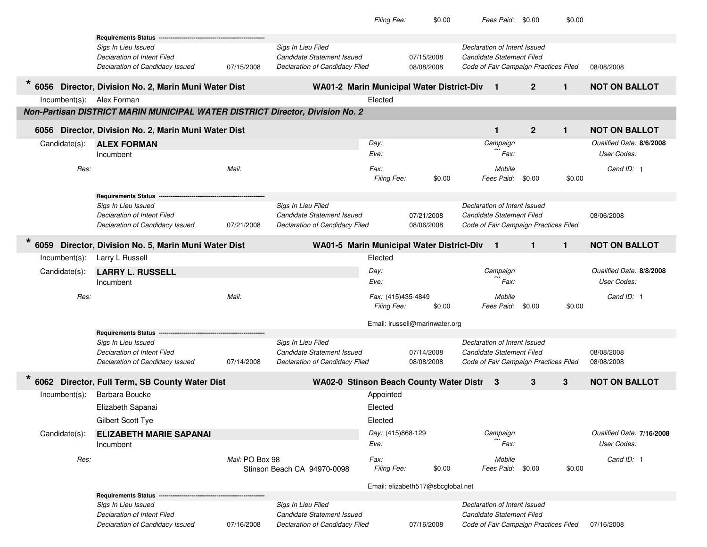|                           |                                                                               |                 |                                                  | Filing Fee:        | \$0.00                            |                              | Fees Paid:        | \$0.00                                | \$0.00       |                           |
|---------------------------|-------------------------------------------------------------------------------|-----------------|--------------------------------------------------|--------------------|-----------------------------------|------------------------------|-------------------|---------------------------------------|--------------|---------------------------|
|                           | <b>Requirements Status</b>                                                    |                 |                                                  |                    |                                   |                              |                   |                                       |              |                           |
|                           | Sigs In Lieu Issued                                                           |                 | Sigs In Lieu Filed                               |                    |                                   | Declaration of Intent Issued |                   |                                       |              |                           |
|                           | Declaration of Intent Filed                                                   |                 | Candidate Statement Issued                       |                    | 07/15/2008                        | Candidate Statement Filed    |                   |                                       |              |                           |
|                           | Declaration of Candidacy Issued                                               | 07/15/2008      | Declaration of Candidacy Filed                   |                    | 08/08/2008                        |                              |                   | Code of Fair Campaign Practices Filed |              | 08/08/2008                |
|                           | 6056 Director, Division No. 2, Marin Muni Water Dist                          |                 | <b>WA01-2 Marin Municipal Water District-Div</b> |                    |                                   |                              | $\mathbf{1}$      | $\mathbf{2}$                          | $\mathbf{1}$ | <b>NOT ON BALLOT</b>      |
| Incumbent(s): Alex Forman |                                                                               |                 |                                                  | Elected            |                                   |                              |                   |                                       |              |                           |
|                           | Non-Partisan DISTRICT MARIN MUNICIPAL WATER DISTRICT Director, Division No. 2 |                 |                                                  |                    |                                   |                              |                   |                                       |              |                           |
|                           | 6056 Director, Division No. 2, Marin Muni Water Dist                          |                 |                                                  |                    |                                   |                              | 1                 | $\overline{2}$                        | $\mathbf{1}$ | <b>NOT ON BALLOT</b>      |
| Candidate(s):             | <b>ALEX FORMAN</b>                                                            |                 |                                                  | Day:               |                                   |                              | Campaign          |                                       |              | Qualified Date: 8/6/2008  |
|                           | Incumbent                                                                     |                 |                                                  | Eve:               |                                   |                              | Fax:              |                                       |              | User Codes:               |
| Res:                      |                                                                               | Mail:           |                                                  | Fax:               |                                   |                              | Mobile            |                                       |              | Cand ID: 1                |
|                           |                                                                               |                 |                                                  | <b>Filing Fee:</b> | \$0.00                            |                              | Fees Paid:        | \$0.00                                | \$0.00       |                           |
|                           | <b>Requirements Status</b>                                                    |                 |                                                  |                    |                                   |                              |                   |                                       |              |                           |
|                           | Sigs In Lieu Issued                                                           |                 | Sigs In Lieu Filed                               |                    |                                   | Declaration of Intent Issued |                   |                                       |              |                           |
|                           | Declaration of Intent Filed                                                   |                 | Candidate Statement Issued                       |                    | 07/21/2008                        | Candidate Statement Filed    |                   |                                       |              | 08/06/2008                |
|                           | Declaration of Candidacy Issued                                               | 07/21/2008      | Declaration of Candidacy Filed                   |                    | 08/06/2008                        |                              |                   | Code of Fair Campaign Practices Filed |              |                           |
| 6059                      | Director, Division No. 5, Marin Muni Water Dist                               |                 | <b>WA01-5 Marin Municipal Water District-Div</b> |                    |                                   |                              | $\mathbf{1}$      | $\mathbf{1}$                          | $\mathbf{1}$ | <b>NOT ON BALLOT</b>      |
| $Incumbent(s)$ :          | Larry L Russell                                                               |                 |                                                  | Elected            |                                   |                              |                   |                                       |              |                           |
| Candidate(s):             | <b>LARRY L. RUSSELL</b>                                                       |                 |                                                  | Day:               |                                   |                              | Campaign          |                                       |              | Qualified Date: 8/8/2008  |
|                           | Incumbent                                                                     |                 |                                                  | Eve:               |                                   |                              | Fax:              |                                       |              | User Codes:               |
| Res:                      |                                                                               | Mail:           |                                                  | Fax: (415)435-4849 |                                   |                              | Mobile            |                                       |              | Cand ID: 1                |
|                           |                                                                               |                 |                                                  | <b>Filing Fee:</b> | \$0.00                            |                              | Fees Paid:        | \$0.00                                | \$0.00       |                           |
|                           |                                                                               |                 |                                                  |                    | Email: Irussell@marinwater.org    |                              |                   |                                       |              |                           |
|                           | <b>Requirements Status</b>                                                    |                 |                                                  |                    |                                   |                              |                   |                                       |              |                           |
|                           | Sigs In Lieu Issued                                                           |                 | Sigs In Lieu Filed                               |                    |                                   | Declaration of Intent Issued |                   |                                       |              |                           |
|                           | Declaration of Intent Filed                                                   |                 | Candidate Statement Issued                       |                    | 07/14/2008                        | Candidate Statement Filed    |                   |                                       |              | 08/08/2008                |
|                           | Declaration of Candidacy Issued                                               | 07/14/2008      | Declaration of Candidacy Filed                   |                    | 08/08/2008                        |                              |                   | Code of Fair Campaign Practices Filed |              | 08/08/2008                |
|                           | 6062 Director, Full Term, SB County Water Dist                                |                 | WA02-0 Stinson Beach County Water Distr          |                    |                                   | -3                           |                   | 3                                     | 3            | <b>NOT ON BALLOT</b>      |
| $Incumbent(s)$ :          | Barbara Boucke                                                                |                 |                                                  | Appointed          |                                   |                              |                   |                                       |              |                           |
|                           | Elizabeth Sapanai                                                             |                 |                                                  | Elected            |                                   |                              |                   |                                       |              |                           |
|                           | Gilbert Scott Tye                                                             |                 |                                                  | Elected            |                                   |                              |                   |                                       |              |                           |
| Candidate(s):             | <b>ELIZABETH MARIE SAPANAI</b>                                                |                 |                                                  | Day: (415)868-129  |                                   |                              | Campaign          |                                       |              | Qualified Date: 7/16/2008 |
|                           | Incumbent                                                                     |                 |                                                  | Eve:               |                                   |                              | <sup>'</sup> Fax: |                                       |              | User Codes:               |
| Res:                      |                                                                               | Mail: PO Box 98 |                                                  | Fax:               |                                   |                              | Mobile            |                                       |              | Cand ID: 1                |
|                           |                                                                               |                 | Stinson Beach CA 94970-0098                      | Filing Fee:        | \$0.00                            |                              | Fees Paid:        | \$0.00                                | \$0.00       |                           |
|                           |                                                                               |                 |                                                  |                    | Email: elizabeth517@sbcglobal.net |                              |                   |                                       |              |                           |
|                           | Requirements Status -                                                         |                 |                                                  |                    |                                   |                              |                   |                                       |              |                           |
|                           | Sigs In Lieu Issued                                                           |                 | Sigs In Lieu Filed                               |                    |                                   | Declaration of Intent Issued |                   |                                       |              |                           |
|                           | Declaration of Intent Filed                                                   |                 | Candidate Statement Issued                       |                    |                                   | Candidate Statement Filed    |                   |                                       |              |                           |
|                           | Declaration of Candidacy Issued                                               | 07/16/2008      | <b>Declaration of Candidacy Filed</b>            |                    | 07/16/2008                        |                              |                   | Code of Fair Campaign Practices Filed |              | 07/16/2008                |